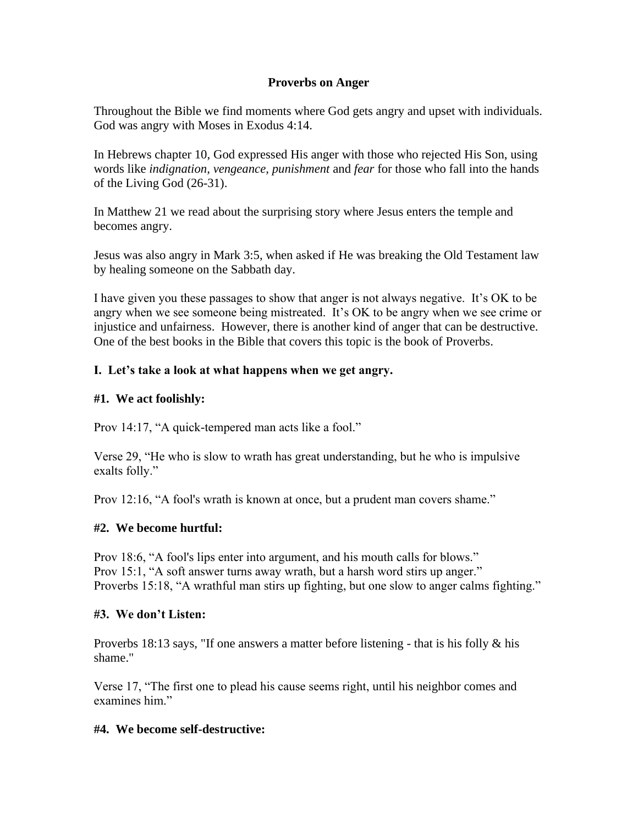### **Proverbs on Anger**

Throughout the Bible we find moments where God gets angry and upset with individuals. God was angry with Moses in Exodus 4:14.

In Hebrews chapter 10, God expressed His anger with those who rejected His Son, using words like *indignation, vengeance, punishment* and *fear* for those who fall into the hands of the Living God (26-31).

In Matthew 21 we read about the surprising story where Jesus enters the temple and becomes angry.

Jesus was also angry in Mark 3:5, when asked if He was breaking the Old Testament law by healing someone on the Sabbath day.

I have given you these passages to show that anger is not always negative. It's OK to be angry when we see someone being mistreated. It's OK to be angry when we see crime or injustice and unfairness. However, there is another kind of anger that can be destructive. One of the best books in the Bible that covers this topic is the book of Proverbs.

## **I. Let's take a look at what happens when we get angry.**

#### **#1. We act foolishly:**

Prov 14:17, "A quick-tempered man acts like a fool."

Verse 29, "He who is slow to wrath has great understanding, but he who is impulsive exalts folly."

Prov 12:16, "A fool's wrath is known at once, but a prudent man covers shame."

#### **#2. We become hurtful:**

Prov 18:6, "A fool's lips enter into argument, and his mouth calls for blows." Prov 15:1, "A soft answer turns away wrath, but a harsh word stirs up anger." Proverbs 15:18, "A wrathful man stirs up fighting, but one slow to anger calms fighting."

#### **#3. We don't Listen:**

Proverbs 18:13 says, "If one answers a matter before listening - that is his folly & his shame."

Verse 17, "The first one to plead his cause seems right, until his neighbor comes and examines him."

#### **#4. We become self-destructive:**